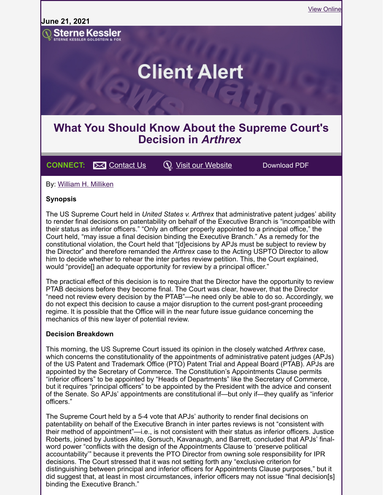**June 21, 2021**



# **What You Should Know About the Supreme Court's Decision in** *Arthrex*

## **CONNECT:**  $\bowtie$  [Contact Us](mailto:marketing@sternekessler.com)  $\heartsuit$  [Visit our Website](http://www.sternekessler.com/) Download PDF

By: William H. [Milliken](https://www.sternekessler.com/professionals/william-h-milliken)

#### **Synopsis**

The US Supreme Court held in *United States v. Arthrex* that administrative patent judges' ability to render final decisions on patentability on behalf of the Executive Branch is "incompatible with their status as inferior officers." "Only an officer properly appointed to a principal office," the Court held, "may issue a final decision binding the Executive Branch." As a remedy for the constitutional violation, the Court held that "[d]ecisions by APJs must be subject to review by the Director" and therefore remanded the *Arthrex* case to the Acting USPTO Director to allow him to decide whether to rehear the inter partes review petition. This, the Court explained, would "provide<sup>[]</sup> an adequate opportunity for review by a principal officer."

The practical effect of this decision is to require that the Director have the opportunity to review PTAB decisions before they become final. The Court was clear, however, that the Director "need not review every decision by the PTAB"—he need only be able to do so. Accordingly, we do not expect this decision to cause a major disruption to the current post-grant proceeding regime. It is possible that the Office will in the near future issue guidance concerning the mechanics of this new layer of potential review.

#### **Decision Breakdown**

This morning, the US Supreme Court issued its opinion in the closely watched *Arthrex* case, which concerns the constitutionality of the appointments of administrative patent judges (APJs) of the US Patent and Trademark Office (PTO) Patent Trial and Appeal Board (PTAB). APJs are appointed by the Secretary of Commerce. The Constitution's Appointments Clause permits "inferior officers" to be appointed by "Heads of Departments" like the Secretary of Commerce, but it requires "principal officers" to be appointed by the President with the advice and consent of the Senate. So APJs' appointments are constitutional if—but only if—they qualify as "inferior officers."

The Supreme Court held by a 5-4 vote that APJs' authority to render final decisions on patentability on behalf of the Executive Branch in inter partes reviews is not "consistent with their method of appointment"—i.e., is not consistent with their status as inferior officers. Justice Roberts, joined by Justices Alito, Gorsuch, Kavanaugh, and Barrett, concluded that APJs' finalword power "conflicts with the design of the Appointments Clause to 'preserve political accountability'" because it prevents the PTO Director from owning sole responsibility for IPR decisions. The Court stressed that it was not setting forth any "exclusive criterion for distinguishing between principal and inferior officers for Appointments Clause purposes," but it did suggest that, at least in most circumstances, inferior officers may not issue "final decision[s] binding the Executive Branch."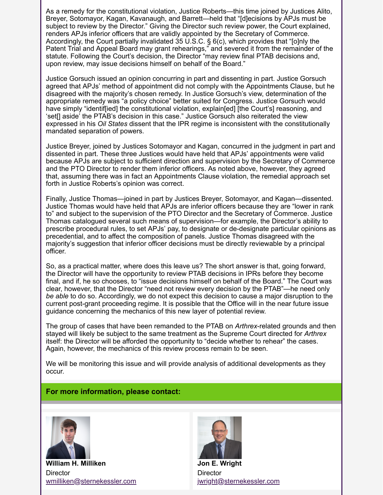As a remedy for the constitutional violation, Justice Roberts—this time joined by Justices Alito, Breyer, Sotomayor, Kagan, Kavanaugh, and Barrett—held that "[d]ecisions by APJs must be subject to review by the Director." Giving the Director such review power, the Court explained, renders APJs inferior officers that are validly appointed by the Secretary of Commerce. Accordingly, the Court partially invalidated 35 U.S.C. § 6(c), which provides that "[o]nly the Patent Trial and Appeal Board may grant rehearings," and severed it from the remainder of the statute. Following the Court's decision, the Director "may review final PTAB decisions and, upon review, may issue decisions himself on behalf of the Board."

Justice Gorsuch issued an opinion concurring in part and dissenting in part. Justice Gorsuch agreed that APJs' method of appointment did not comply with the Appointments Clause, but he disagreed with the majority's chosen remedy. In Justice Gorsuch's view, determination of the appropriate remedy was "a policy choice" better suited for Congress. Justice Gorsuch would have simply "identiffied] the constitutional violation, explain [ed] [the Court's] reasoning, and 'set[] aside' the PTAB's decision in this case." Justice Gorsuch also reiterated the view expressed in his *Oil States* dissent that the IPR regime is inconsistent with the constitutionally mandated separation of powers.

Justice Breyer, joined by Justices Sotomayor and Kagan, concurred in the judgment in part and dissented in part. These three Justices would have held that APJs' appointments were valid because APJs are subject to sufficient direction and supervision by the Secretary of Commerce and the PTO Director to render them inferior officers. As noted above, however, they agreed that, assuming there was in fact an Appointments Clause violation, the remedial approach set forth in Justice Roberts's opinion was correct.

Finally, Justice Thomas—joined in part by Justices Breyer, Sotomayor, and Kagan—dissented. Justice Thomas would have held that APJs are inferior officers because they are "lower in rank to" and subject to the supervision of the PTO Director and the Secretary of Commerce. Justice Thomas catalogued several such means of supervision—for example, the Director's ability to prescribe procedural rules, to set APJs' pay, to designate or de-designate particular opinions as precedential, and to affect the composition of panels. Justice Thomas disagreed with the majority's suggestion that inferior officer decisions must be directly reviewable by a principal officer.

So, as a practical matter, where does this leave us? The short answer is that, going forward, the Director will have the opportunity to review PTAB decisions in IPRs before they become final, and if, he so chooses, to "issue decisions himself on behalf of the Board." The Court was clear, however, that the Director "need not review every decision by the PTAB"—he need only *be able* to do so. Accordingly, we do not expect this decision to cause a major disruption to the current post-grant proceeding regime. It is possible that the Office will in the near future issue guidance concerning the mechanics of this new layer of potential review.

The group of cases that have been remanded to the PTAB on *Arthrex*-related grounds and then stayed will likely be subject to the same treatment as the Supreme Court directed for *Arthrex* itself: the Director will be afforded the opportunity to "decide whether to rehear" the cases. Again, however, the mechanics of this review process remain to be seen.

We will be monitoring this issue and will provide analysis of additional developments as they occur.

#### **For more information, please contact:**



**William H. Milliken Director** [wmilliken@sternekessler.com](mailto:wmilliken@sternekessler.com)



**Jon E. Wright Director** [jwright@sternekessler.com](mailto:jwright@sternekessler.com)